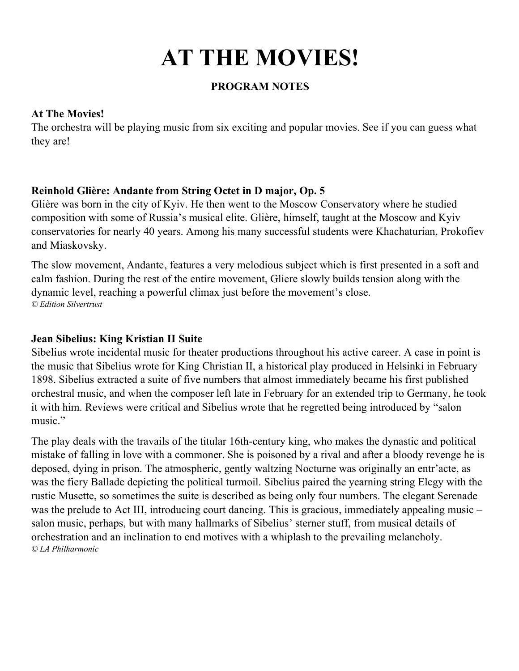# **AT THE MOVIES!**

#### **PROGRAM NOTES**

#### **At The Movies!**

The orchestra will be playing music from six exciting and popular movies. See if you can guess what they are!

#### **Reinhold Glière: Andante from String Octet in D major, Op. 5**

Glière was born in the city of Kyiv. He then went to the Moscow Conservatory where he studied composition with some of Russia's musical elite. Glière, himself, taught at the Moscow and Kyiv conservatories for nearly 40 years. Among his many successful students were Khachaturian, Prokofiev and Miaskovsky.

The slow movement, Andante, features a very melodious subject which is first presented in a soft and calm fashion. During the rest of the entire movement, Gliere slowly builds tension along with the dynamic level, reaching a powerful climax just before the movement's close. *© Edition Silvertrust*

#### **Jean Sibelius: King Kristian II Suite**

Sibelius wrote incidental music for theater productions throughout his active career. A case in point is the music that Sibelius wrote for King Christian II, a historical play produced in Helsinki in February 1898. Sibelius extracted a suite of five numbers that almost immediately became his first published orchestral music, and when the composer left late in February for an extended trip to Germany, he took it with him. Reviews were critical and Sibelius wrote that he regretted being introduced by "salon music."

The play deals with the travails of the titular 16th-century king, who makes the dynastic and political mistake of falling in love with a commoner. She is poisoned by a rival and after a bloody revenge he is deposed, dying in prison. The atmospheric, gently waltzing Nocturne was originally an entr'acte, as was the fiery Ballade depicting the political turmoil. Sibelius paired the yearning string Elegy with the rustic Musette, so sometimes the suite is described as being only four numbers. The elegant Serenade was the prelude to Act III, introducing court dancing. This is gracious, immediately appealing music – salon music, perhaps, but with many hallmarks of Sibelius' sterner stuff, from musical details of orchestration and an inclination to end motives with a whiplash to the prevailing melancholy. *© LA Philharmonic*